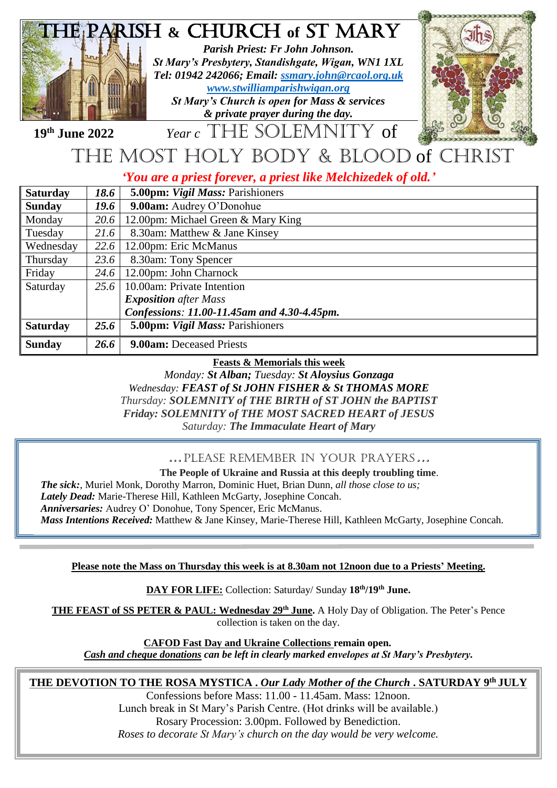

## the most holy body & blood of christ

*'You are a priest forever, a priest like Melchizedek of old.'*

| Saturday  | 18.6 | 5.00pm: Vigil Mass: Parishioners            |
|-----------|------|---------------------------------------------|
| Sunday    | 19.6 | 9.00am: Audrey O'Donohue                    |
| Monday    | 20.6 | 12.00pm: Michael Green & Mary King          |
| Tuesday   | 21.6 | 8.30am: Matthew & Jane Kinsey               |
| Wednesday | 22.6 | 12.00pm: Eric McManus                       |
| Thursday  | 23.6 | 8.30am: Tony Spencer                        |
| Friday    | 24.6 | 12.00pm: John Charnock                      |
| Saturday  | 25.6 | 10.00am: Private Intention                  |
|           |      | <b>Exposition</b> after Mass                |
|           |      | Confessions: 11.00-11.45am and 4.30-4.45pm. |
| Saturday  | 25.6 | 5.00pm: Vigil Mass: Parishioners            |
| Sunday    | 26.6 | 9.00am: Deceased Priests                    |

**Feasts & Memorials this week**

*Monday: St Alban; Tuesday: St Aloysius Gonzaga Wednesday: FEAST of St JOHN FISHER & St THOMAS MORE Thursday: SOLEMNITY of THE BIRTH of ST JOHN the BAPTIST Friday: SOLEMNITY of THE MOST SACRED HEART of JESUS Saturday: The Immaculate Heart of Mary*

## …Please remember in your prayers…

**The People of Ukraine and Russia at this deeply troubling time**. *The sick:*, Muriel Monk, Dorothy Marron, Dominic Huet, Brian Dunn, *all those close to us; Lately Dead:* Marie-Therese Hill, Kathleen McGarty, Josephine Concah. *Anniversaries:* Audrey O' Donohue, Tony Spencer, Eric McManus.

*Mass Intentions Received:* Matthew & Jane Kinsey, Marie-Therese Hill, Kathleen McGarty, Josephine Concah.

## **Please note the Mass on Thursday this week is at 8.30am not 12noon due to a Priests' Meeting.**

**DAY FOR LIFE:** Collection: Saturday/ Sunday **18th/19th June.**

**THE FEAST of SS PETER & PAUL: Wednesday 29th June.** A Holy Day of Obligation. The Peter's Pence collection is taken on the day.

**CAFOD Fast Day and Ukraine Collections remain open.** 

*Cash and cheque donations can be left in clearly marked envelopes at St Mary's Presbytery.*

## **THE DEVOTION TO THE ROSA MYSTICA .** *Our Lady Mother of the Church* **. SATURDAY 9th JULY**

Confessions before Mass: 11.00 - 11.45am. Mass: 12noon. Lunch break in St Mary's Parish Centre. (Hot drinks will be available.) Rosary Procession: 3.00pm. Followed by Benediction. *Roses to decorate St Mary's church on the day would be very welcome.*